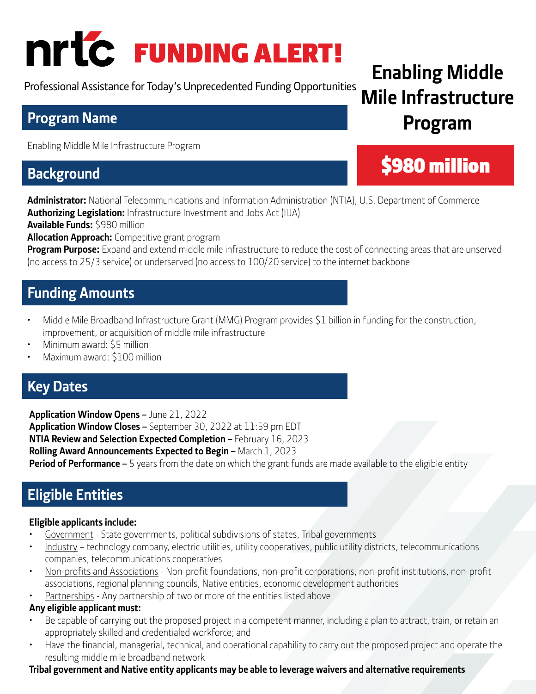# FUNDING ALERT!

Professional Assistance for Today's Unprecedented Funding Opportunities

## **Program Name**

Enabling Middle Mile Infrastructure Program

## **Background**

**Administrator:** National Telecommunications and Information Administration (NTIA), U.S. Department of Commerce **Authorizing Legislation:** Infrastructure Investment and Jobs Act (IIJA)

**Available Funds:** \$980 million

**Allocation Approach:** Competitive grant program

**Program Purpose:** Expand and extend middle mile infrastructure to reduce the cost of connecting areas that are unserved (no access to 25/3 service) or underserved (no access to 100/20 service) to the internet backbone

## **Funding Amounts**

- Middle Mile Broadband Infrastructure Grant (MMG) Program provides \$1 billion in funding for the construction, improvement, or acquisition of middle mile infrastructure
- Minimum award: \$5 million
- Maximum award: \$100 million

## **Key Dates**

**Application Window Opens –** June 21, 2022 **Application Window Closes –** September 30, 2022 at 11:59 pm EDT **NTIA Review and Selection Expected Completion – February 16, 2023 Rolling Award Announcements Expected to Begin –** March 1, 2023 **Period of Performance –** 5 years from the date on which the grant funds are made available to the eligible entity

## **Eligible Entities**

#### **Eligible applicants include:**

- Government State governments, political subdivisions of states, Tribal governments
- Industry technology company, electric utilities, utility cooperatives, public utility districts, telecommunications companies, telecommunications cooperatives
- Non-profits and Associations Non-profit foundations, non-profit corporations, non-profit institutions, non-profit associations, regional planning councils, Native entities, economic development authorities
- Partnerships Any partnership of two or more of the entities listed above

#### **Any eligible applicant must:**

- Be capable of carrying out the proposed project in a competent manner, including a plan to attract, train, or retain an appropriately skilled and credentialed workforce; and
- Have the financial, managerial, technical, and operational capability to carry out the proposed project and operate the resulting middle mile broadband network

#### **Tribal government and Native entity applicants may be able to leverage waivers and alternative requirements**

## **Enabling Middle Mile Infrastructure Program**

## \$980 million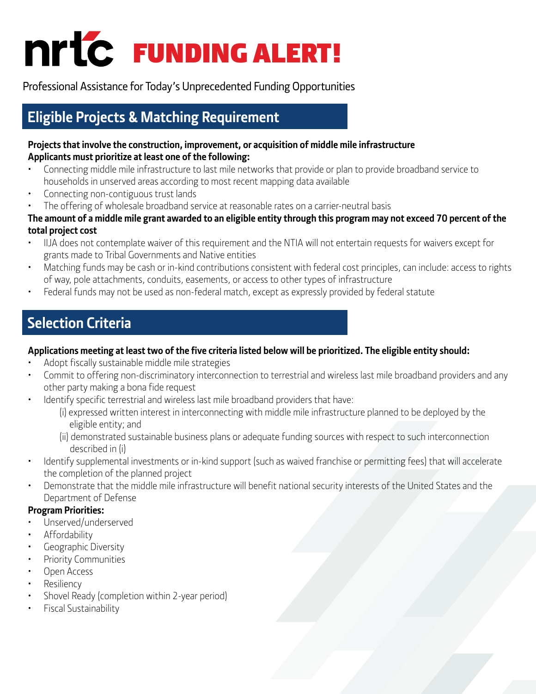

Professional Assistance for Today's Unprecedented Funding Opportunities

## **Eligible Projects & Matching Requirement**

#### **Projects that involve the construction, improvement, or acquisition of middle mile infrastructure Applicants must prioritize at least one of the following:**

- Connecting middle mile infrastructure to last mile networks that provide or plan to provide broadband service to households in unserved areas according to most recent mapping data available
- Connecting non-contiguous trust lands
- The offering of wholesale broadband service at reasonable rates on a carrier-neutral basis

#### **The amount of a middle mile grant awarded to an eligible entity through this program may not exceed 70 percent of the total project cost**

- IIJA does not contemplate waiver of this requirement and the NTIA will not entertain requests for waivers except for grants made to Tribal Governments and Native entities
- Matching funds may be cash or in-kind contributions consistent with federal cost principles, can include: access to rights of way, pole attachments, conduits, easements, or access to other types of infrastructure
- Federal funds may not be used as non-federal match, except as expressly provided by federal statute

## **Selection Criteria**

#### **Applications meeting at least two of the five criteria listed below will be prioritized. The eligible entity should:**

- Adopt fiscally sustainable middle mile strategies
- Commit to offering non-discriminatory interconnection to terrestrial and wireless last mile broadband providers and any other party making a bona fide request
- Identify specific terrestrial and wireless last mile broadband providers that have:
	- (i) expressed written interest in interconnecting with middle mile infrastructure planned to be deployed by the eligible entity; and
	- (ii) demonstrated sustainable business plans or adequate funding sources with respect to such interconnection described in (i)
- Identify supplemental investments or in-kind support (such as waived franchise or permitting fees) that will accelerate the completion of the planned project
- Demonstrate that the middle mile infrastructure will benefit national security interests of the United States and the Department of Defense

#### **Program Priorities:**

- Unserved/underserved
- Affordability
- Geographic Diversity
- Priority Communities
- Open Access
- **Resiliency**
- Shovel Ready (completion within 2-year period)
- Fiscal Sustainability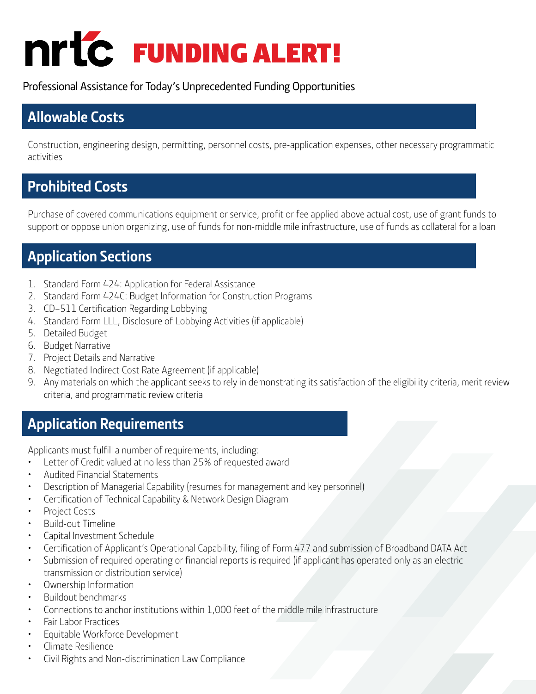# FUNDING ALERT!

Professional Assistance for Today's Unprecedented Funding Opportunities

## **Allowable Costs**

Construction, engineering design, permitting, personnel costs, pre-application expenses, other necessary programmatic activities

## **Prohibited Costs**

Purchase of covered communications equipment or service, profit or fee applied above actual cost, use of grant funds to support or oppose union organizing, use of funds for non-middle mile infrastructure, use of funds as collateral for a loan

## **Application Sections**

- 1. Standard Form 424: Application for Federal Assistance
- 2. Standard Form 424C: Budget Information for Construction Programs
- 3. CD–511 Certification Regarding Lobbying
- 4. Standard Form LLL, Disclosure of Lobbying Activities (if applicable)
- 5. Detailed Budget
- 6. Budget Narrative
- 7. Project Details and Narrative
- 8. Negotiated Indirect Cost Rate Agreement (if applicable)
- 9. Any materials on which the applicant seeks to rely in demonstrating its satisfaction of the eligibility criteria, merit review criteria, and programmatic review criteria

## **Application Requirements**

Applicants must fulfill a number of requirements, including:

- Letter of Credit valued at no less than 25% of requested award
- Audited Financial Statements
- Description of Managerial Capability (resumes for management and key personnel)
- Certification of Technical Capability & Network Design Diagram
- Project Costs
- Build-out Timeline
- Capital Investment Schedule
- Certification of Applicant's Operational Capability, filing of Form 477 and submission of Broadband DATA Act
- Submission of required operating or financial reports is required (if applicant has operated only as an electric transmission or distribution service)
- Ownership Information
- Buildout benchmarks
- Connections to anchor institutions within 1,000 feet of the middle mile infrastructure
- Fair Labor Practices
- Equitable Workforce Development
- Climate Resilience
- Civil Rights and Non-discrimination Law Compliance